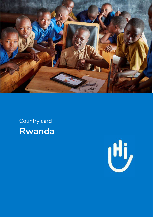

# Country card **Rwanda**

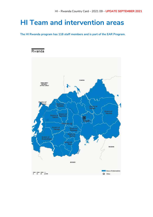## **HI Team and intervention areas**

**The HI Rwanda program has 118 staff members and is part of the EAR Program.**

### Rwanda

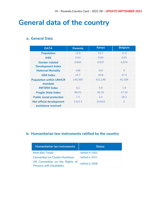## **General data of the country**

### **a. General Data**

| <b>DATA</b>                                            | <b>Rwanda</b> | <b>Kenya</b> | <b>Belgium</b> |
|--------------------------------------------------------|---------------|--------------|----------------|
| <b>Population</b>                                      | 12.9          | 53.7         | 11.5           |
| <b>IHDI</b>                                            | 0.54          | 0.60         | 0.93           |
| <b>Gender-related</b>                                  | 0.945         | 0.937        | 0.974          |
| <b>Development Index</b>                               |               |              |                |
| <b>Maternal Mortality</b>                              | 248           | 342          | 5              |
| <b>GINI Index</b>                                      | 43.7          | 40.8         | 27.4           |
| <b>Population within UNHCR</b><br>mandate              | 145,360       | 421,248      | 42,168         |
| <b>INFORM Index</b>                                    | 4.2           | 5.9          | 1.9            |
| <b>Fragile State Index</b>                             | 86.03         | 90.32        | 27.10          |
| <b>Public social protection</b>                        | 7.3           | 2.3          | 29.2           |
| <b>Net official development</b><br>assistance received | 1332.3        | 3244.8       | $\Omega$       |

### **b. Humanitarian law instruments ratified by the country**

| <b>Humanitarian law instruments</b>                                | <b>Status</b>    |
|--------------------------------------------------------------------|------------------|
| Mine Ban Treaty                                                    | ratified in 2002 |
| <b>Convention on Cluster Munitions</b>                             | ratified in 2011 |
| UN Convention on the Rights of<br><b>Persons with Disabilities</b> | ratified in 2008 |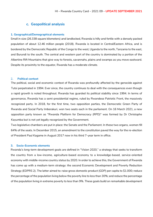#### **c. Geopolitical analysis**

#### **1. Geographical/Demographical elements**

Small in size (26.338 square kilometers) and landlocked, Rwanda is hilly and fertile with a densely packed population of about 12.46 million people (2018). Rwanda is located in Central/Eastern Africa, and is bordered by the Democratic Republic of the Congo to the west, Uganda to the north, Tanzania to the east, and Burundi to the south. The central and western part of the country is dominated by a portion of the Albertine Rift Mountains that give way to forests, savannahs, plains and swamps as you move eastward. Despite its proximity to the equator, Rwanda has a moderate climate.

#### 2**. Political context**

The political, social and economic context of Rwanda was profoundly affected by the genocide against Tutsi perpetrated in 1994. Ever since, the country continues to deal with the consequences even though a rapid growth is noted throughout. Rwanda has guarded its political stability since 1994. In terms of governance, Rwanda has a semi-presidential regime, ruled by Rwandese Patriotic Front, the massively recognized party. In 2018, for the first time, two opposition parties, the Democratic Green Party of Rwanda and Social Party Imberakuri, won two seats each in the parliament. On 16 March 2021, a new opposition party known as "Rwanda Platform for Democracy (RPD)" was formed by Dr Christophe Kayumba but is not yet legally recognized by the Government.

Two legislative chambers are put in place: the Senate and the Parliament. In these two organs, women fill 64% of the seats. In December 2015, an amendment to the constitution paved the way for the re-election of President Paul Kagame in August 2017 now in his third 7-year term in office.

#### **3. Socio-Economic elements**

Rwanda's long-term development goals are defined in "Vision 2020," a strategy that seeks to transform the country from a low-income, agriculture-based economy to a knowledge-based, service-oriented economy with middle-income country status by 2020. In order to achieve this, the Government of Rwanda has come up with a medium-term strategy: the second Economic Development and Poverty Reduction Strategy (EDPRS 2). The latter aimed to: raise gross domestic product (GDP) per capita to \$1.000; reduce the percentage of the population living below the poverty line to less than 30%; and reduce the percentage of the population living in extreme poverty to less than 9%. These goals build on remarkable development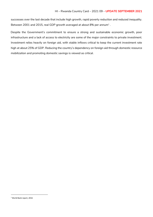successes over the last decade that include high growth, rapid poverty reduction and reduced inequality. Between 2001 and 2015, real GDP growth averaged at about 8% per annum $^{\scriptscriptstyle 1}$  .

Despite the Government's commitment to ensure a strong and sustainable economic growth, poor infrastructure and a lack of access to electricity are some of the major constraints to private investment. Investment relies heavily on foreign aid, with stable inflows critical to keep the current investment rate high at about 25% of GDP. Reducing the country's dependency on foreign aid through domestic resource mobilization and promoting domestic savings is viewed as critical.

-

<sup>1</sup> World Bank report, 2016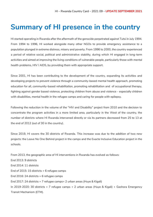## **Summary of HI presence in the country**

HI started operating in Rwanda after the aftermath of the genocide perpetrated against Tutsi in July 1994. From 1994 to 1996, HI worked alongside many other NGOs to provide emergency assistance to a population plunged in extreme distress, misery and poverty. From 1996 to 2000, the country experienced a period of relative social, political and administrative stability, during which HI engaged in long-term activities and aimed at improving the living conditions of vulnerable people, particularly those with mental health problems, HIV / AIDS, by providing them with appropriate support.

Since 2001, HI has been contributing to the development of the country, expanding its activities and developing projects to prevent violence through a community-based mental health approach, promoting education for all, community-based rehabilitation, promoting rehabilitation and of occupational therapy, fighting against gender based violence, protecting children from abuse and violence - especially children with disabilities, mental health in the refugee camps and caring for people with epilepsy.

Following the reduction in the volume of the "HIV and Disability" project from 2010 and the decision to concentrate the program activities in a more limited area, particularly in the West of the country, the number of districts where HI Rwanda intervened directly or via its partners decreased from 25 to 13 at the end of 2012 (out of 30 in the country).

Since 2019, HI covers the 30 districts of Rwanda. This increase was due to the addition of two new projects: the Leave No One Behind project in the camps and the Exacte Inclusive Education project in the schools.

From 2013, the geographic area of HI interventions in Rwanda has evolved as follows: End 2013: 9 districts End 2014: 11 districts End of 2015: 15 districts + 6 refugee camps End 2016: 24 districts + 6 refugee camps End 2017: 24 districts + 7 refugee camps+ 2 urban areas (Huye & Kigali) In 2019-2020: 30 districts + 7 refugee camps + 2 urban areas (Huye & Kigali) + Gashora Emergency Transit Mechanism (ETM).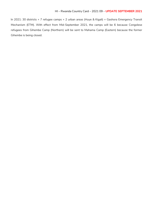In 2021: 30 districts + 7 refugee camps + 2 urban areas (Huye & Kigali) + Gashora Emergency Transit Mechanism (ETM). With effect from Mid-September 2021, the camps will be 6 because Congolese refugees from Gihembe Camp (Northern) will be sent to Mahama Camp (Eastern) because the former Gihembe is being closed.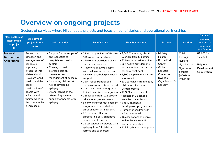## **Overview on ongoing projects**

### Sectors of services where HI conducts projects and focus on beneficiaries and operational partnerships

| Main sectors of<br>intervention<br>and project<br>title | <b>Objective of</b><br>project in the<br>sector                                                                                                                                                                                                                        | <b>Main activities</b>                                                                                                                                                                                                                                                                                                             | <b>Beneficiaries</b>                                                                                                                                                                                                                                                                                                                                                                                                                                                                                                                                                                                                                                                                                                | <b>Final beneficiaries</b>                                                                                                                                                                                                                                                                                                                                                                                                                                                                                                                                                                                         | <b>Partners</b>                                                                                                                      | <b>Location</b>                                                                                    | Dates of<br>beginning<br>and end of<br>the project<br>and Donors              |
|---------------------------------------------------------|------------------------------------------------------------------------------------------------------------------------------------------------------------------------------------------------------------------------------------------------------------------------|------------------------------------------------------------------------------------------------------------------------------------------------------------------------------------------------------------------------------------------------------------------------------------------------------------------------------------|---------------------------------------------------------------------------------------------------------------------------------------------------------------------------------------------------------------------------------------------------------------------------------------------------------------------------------------------------------------------------------------------------------------------------------------------------------------------------------------------------------------------------------------------------------------------------------------------------------------------------------------------------------------------------------------------------------------------|--------------------------------------------------------------------------------------------------------------------------------------------------------------------------------------------------------------------------------------------------------------------------------------------------------------------------------------------------------------------------------------------------------------------------------------------------------------------------------------------------------------------------------------------------------------------------------------------------------------------|--------------------------------------------------------------------------------------------------------------------------------------|----------------------------------------------------------------------------------------------------|-------------------------------------------------------------------------------|
| Maternal,<br>Newborn and<br><b>Child Health</b>         | Prevention,<br>detection and<br>management of<br>epilepsy is<br>improved,<br>integrated into<br>Maternal and<br>Newborn Child<br>Health, and the<br>social<br>participation of<br>people with<br>epilepsy and<br>their families in<br>the communities<br>is increased. | • Support for the supply of<br>anti-epileptics to<br>hospitals and health<br>centers<br>• Training of health<br>professionals on<br>prevention and<br>management of epilepsy<br>• Monitoring children at<br>risk of developing<br>epilepsy<br>• Strengthening of the<br>referencing system<br>support for people with<br>epilepsy. | . 72 Health providers of Rutsiro<br>& Karongi districts trained<br>• 170 Health providers trained<br>on care and epilepsy<br>• Treatment of 2,706 people<br>with epilepsy supervised and<br>receiving psychological social<br>support<br>• 290 Troupe Handicapée<br>Twuzuzanye members trained<br>• Care givers and other groups<br>trained on epilepsy integration<br>. 228 leaders from 122 psycho-<br>educational groups trained<br>• 5 early childhood development<br>programmes supported to<br>enroll children with epilepsy<br>• 62 children with epilepsy<br>enrolled in 5 early childhood<br>development centers<br>• 21 associations of people with<br>epilepsy from 21 districts<br>formed and supported | . 9,648 Community Health<br>Workers from 5 districts<br>· 72 Health providers trained<br>• 364 health providers of 5<br>districts trained on care and<br>epilepsy treatment<br>• 2,800 people with epilepsy<br>supervised<br>• 130 caregivers from 5 Early<br><b>Childhood Development</b><br>Centers trained<br>• 12,993 students and their<br>teachers of 12 schools<br>sensitized on epilepsy<br>• 5 early childhood<br>development programmes<br>• Number of children with<br>epilepsy enrolled<br>• 16 associations of people<br>with epilepsy from 16<br>districts supported<br>• 122 Psychoeducation groups | · Ministry of<br>Health<br>· Biomedical<br>Center<br>• Global<br>Epileptic<br>Connection<br>• Rwanda<br>Organization for<br>Epilepsy | Rutsiro,<br>Karongi,<br>Rubavu,<br>Nyabihu and<br>Ngororero<br>districts<br>(Western<br>Province). | $01.2017 -$<br>12.2021<br><b>Belgium</b><br><b>Development</b><br>Cooperation |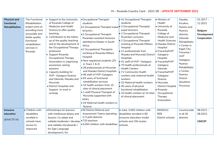## HI – Rwanda Country Card – 2021 09 – **UPDATE SEPTEMBER 2021**

| <b>Physical and</b><br>functional<br>Rehabilitation | The Functional<br>Rehabilitation<br>project aims at<br>providing more<br>accessible and<br>better quality<br>functional<br>rehabilitation<br>services in<br>Rwanda | $\bullet$ Support to the University<br>of Rwanda College of<br>Medecine and Health<br>Science to offer quality<br>teaching<br>• Contribution to the follow<br>up of the quality teaching<br>and to the development of<br>the Occupational Therapy<br>profession<br>• Support Rwanda<br>Occupational Therapy<br>Association in organizing<br>awareness raising<br>sessions<br>• Capacity building for<br>HVP- Gatagara Nyanza<br>and Gikondo, Masaka and<br>Murunda<br>· District Hospitals and<br>Support to work in<br>synergy | • Occupational Therapist<br>students<br>•2 Occupational Therapist expat • 3 Occupational Therapist<br>lecturers<br>•2 Occupational Therapist<br>Rwandan assistant lecturers<br>admitted to Master in South<br>Africa<br>.2 Occupational Therapists<br>working at Rwanda Military<br>Hospital<br>• New registered students (25<br>in Years 1 & 2)<br>• 28 professionals at Murunda<br>and Masaka District hospitals<br>• 46 staff of HVP-Gatagara<br>• 63 users of functional<br>rehabilitation services<br>• 10 health workers from 10<br>sites of clinical placement<br>• 1 staff Physical Therapist of<br>Murunda supported with<br>salary<br>• 34 Maternal health workers in<br>Nyanza | $\bullet$ 41 Occupational Therapist<br>students<br>expat lecturers<br>$\bullet$ 2 Occupational Therapist<br><b>Rwandan Lecturers</b><br>• 2 Occupational Therapist<br>working at Rwanda Military<br>Hospital<br>$\bullet$ 21 professionals from<br>Masaka and Murunda District<br>Hospitals<br>$\bullet$ 41 staff of HVP- Gatagara<br>$\bullet$ 70 health professionals at<br><b>Health Centers</b><br>• 72 Community Health<br>workers and maternal health<br>workers<br>• 32 Maternal health workers<br>$\bullet$ 40 users of physical<br>functional rehabilitation<br>$\bullet$ 10 health workers at 10 sites<br>of clinical placement | Ministry of<br>Health<br>· University of<br>Rwanda<br>College of<br>Medecine and<br><b>Health Sciences</b><br>· Masaka District<br>Hospital<br>• Fracarita/HVP<br>Gatagara-<br>Hospital<br>· Fracarita/HVP<br>Gatagara-<br>Gikondo<br>· Fracarita/HVP<br>Gatagara-<br>Nyanza<br>· Murunda<br><b>District Hospital</b><br>· Rwanda<br>Occupational<br>Therapy<br>Association | Gasabo,<br>Kicukiro,<br>Rutsiro and<br>Nyanza<br>districts<br>Gikondo<br>Rehabilitatio<br>n Center in<br>Kigali City;<br>Fracarita /<br><b>HVP</b><br>Gatagara-<br>Nyanza<br>Rehabilitatio<br>n Center,<br>Nyanza<br>District<br>(Southern<br>Province) | $01.2017 -$<br>12.2021<br><b>Belgium</b><br><b>Development</b><br>Cooperation |
|-----------------------------------------------------|--------------------------------------------------------------------------------------------------------------------------------------------------------------------|---------------------------------------------------------------------------------------------------------------------------------------------------------------------------------------------------------------------------------------------------------------------------------------------------------------------------------------------------------------------------------------------------------------------------------------------------------------------------------------------------------------------------------|-------------------------------------------------------------------------------------------------------------------------------------------------------------------------------------------------------------------------------------------------------------------------------------------------------------------------------------------------------------------------------------------------------------------------------------------------------------------------------------------------------------------------------------------------------------------------------------------------------------------------------------------------------------------------------------------|-------------------------------------------------------------------------------------------------------------------------------------------------------------------------------------------------------------------------------------------------------------------------------------------------------------------------------------------------------------------------------------------------------------------------------------------------------------------------------------------------------------------------------------------------------------------------------------------------------------------------------------------|-----------------------------------------------------------------------------------------------------------------------------------------------------------------------------------------------------------------------------------------------------------------------------------------------------------------------------------------------------------------------------|---------------------------------------------------------------------------------------------------------------------------------------------------------------------------------------------------------------------------------------------------------|-------------------------------------------------------------------------------|
| Inclusive<br>education<br>(EXACTE IV)               | • Children with<br>disabilities<br>enrolled in<br>schools have<br>access to<br>improved                                                                            | . Workshops for learners<br>with intellectual delays and<br>lessons / to adapt and<br>validate textbooks / develop<br>and validate storyboards /<br>for Sign Language<br>development / for                                                                                                                                                                                                                                                                                                                                      | .50 District Referral and<br><b>Assessment Teams operating</b><br>in 5 pilot districts<br>●720 teachers<br>● 3,000 children with disabilities                                                                                                                                                                                                                                                                                                                                                                                                                                                                                                                                             | In total, 3,000 children with<br>disabilities enrolled in 60<br>inclusive education model<br>schools and 150 cluster<br>schools.                                                                                                                                                                                                                                                                                                                                                                                                                                                                                                          | <b>MINEDUC</b><br><b>REB</b><br>District schools                                                                                                                                                                                                                                                                                                                            | Countrywide<br>in all 30<br>districts                                                                                                                                                                                                                   | $08.2021 -$<br>08.2022<br><b>UNICEF</b>                                       |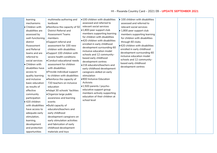| learning          | multimedia authoring and       | .100 children with disabilities                               | $\bullet$ 100 children with disabilities |  |  |
|-------------------|--------------------------------|---------------------------------------------------------------|------------------------------------------|--|--|
| mechanisms        | textbook                       | assessed and referred to                                      | assessed and referred to                 |  |  |
| • Children with   | . Reinforce the capacity of 50 | relevant social services                                      | relevant social services                 |  |  |
| disabilities are  | <b>District Referral and</b>   | •1,800 peer support club                                      | $\bullet$ 1,800 peer support club        |  |  |
| assessed by       | <b>Assessment Teams</b>        | members supporting learning                                   | members supporting learning              |  |  |
| well-functioning  | members                        | for children with disabilities                                | for children with disabilities           |  |  |
| district          | • Support referral and         | .420 children with disabilities                               | through 60 clubs.                        |  |  |
| Assessment        | assessment for 100 new         | enrolled in early childhood                                   | $\bullet$ 420 children with disabilities |  |  |
| and Referral      | children with disabilities     | development surrounding 60<br>inclusive education model       | enrolled in early childhood              |  |  |
| teams and are     | •Support 100 children with     | schools and 12 community-                                     | development surrounding 60               |  |  |
| referred to       | severe health conditions       | based early childhood                                         | inclusive education model                |  |  |
| social services   | • Conduct educational needs    | development centres                                           | schools and 12 community-                |  |  |
| • Children with   | assessment for children        | .216 educators/teachers and                                   | based early childhood                    |  |  |
| disabilities have | with disabilities              | early childhood development                                   | development centres                      |  |  |
| access to         | • Provide individual support   | caregivers skilled on early                                   |                                          |  |  |
| quality learning  | to children with disabilities  | stimulation                                                   |                                          |  |  |
| and inclusive     | • Reinforce the capacity of    | .900 Inclusive Education                                      |                                          |  |  |
| basic education   | 720 teachers on inclusive      | Activists                                                     |                                          |  |  |
| as results of     | education                      | •1,500 parents / psycho-                                      |                                          |  |  |
| effective         | • Adapt 30 schools' facilities | educative support group                                       |                                          |  |  |
| community         | •Organize large public         | members actively supporting<br>education of their children at |                                          |  |  |
| participation     | awareness and learning         | school level                                                  |                                          |  |  |
| ● 420 children    | events                         |                                                               |                                          |  |  |
| with disabilities | . Build capacity of            |                                                               |                                          |  |  |
| have access to    | educators/teachers and         |                                                               |                                          |  |  |
| adequate early    | early childhood                |                                                               |                                          |  |  |
| stimulation,      | development caregivers on      |                                                               |                                          |  |  |
| learning,         | early stimulation activities   |                                                               |                                          |  |  |
| development       | and fabrication of early       |                                                               |                                          |  |  |
| and protection    | childhood development          |                                                               |                                          |  |  |
| opportunities     | materials and toys             |                                                               |                                          |  |  |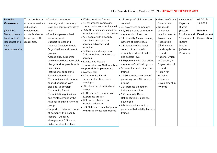## HI – Rwanda Country Card – 2021 09 – **UPDATE SEPTEMBER 2021**

| <b>Inclusive</b> | To ensure better   | • Conduct awareness                                | •17 theatre clubs formed                        | $\bullet$ 17 groups of 194 members      | Ministry of Local   | 4 sectors of    | 01.2017-           |
|------------------|--------------------|----------------------------------------------------|-------------------------------------------------|-----------------------------------------|---------------------|-----------------|--------------------|
| Governance       | access to services | campaigns at community                             | $\bullet$ 18 awareness campaigns                | created                                 | Government          | Kayonza         | 12.2021            |
|                  | education,         | level and service providers'                       | conducted at community level                    | $\bullet$ 42 awareness campaigns        | $\bullet$ Troupe de | District        |                    |
| (DLI-RBC:        | employment,        | level                                              | .85,509 Persons sensitized on                   | $\bullet$ 62,405 persons community      | personnes           | (Eastern        | <b>Belgium</b>     |
| Développement    | sports & leisure)  | · Provide a personalized                           | inclusion and access to services                | members in 17 sectors                   | handicapées de      | Province) and   | <b>Development</b> |
| Local Inclusif-  | for people with    | social support                                     | .773 people with disability                     | • 31 Disability Mainstreaming           | Twuzuzanye          | 13 sectors of   | Cooperation        |
| Réadaptation à   | disabilities.      | • Support to local and                             | sensitized on access to                         | Officers at district level              | • Association       | Rutsiro         |                    |
| base             |                    | national Disabled People                           | services, advocacy and                          | • 133 leaders of National               | Générale des        | <b>District</b> |                    |
| communautaire)   |                    | Organizations and parent                           | inclusion<br>.27 Disability Management          | council of person with                  | Handicapés du       | (Western        |                    |
|                  |                    | groups                                             | Officers trained on access to                   | disability leaders at district          | Rwanda              | Province).      |                    |
|                  |                    | • Accessibility support to                         | services                                        | and sectors level                       | • National Union    |                 |                    |
|                  |                    | service providers: accessible  .22 Disabled People |                                                 | $\bullet$ 510 persons with disabilities | of Disability's     |                 |                    |
|                  |                    | playground for people with                         | Organizations of 973 members                    | members of self-help group              | Organizations in    |                 |                    |
|                  |                    | disabilities                                       | supported for implementing                      | • 58 volunteers identified and          | Rwanda              |                 |                    |
|                  |                    | · Institutional support to                         | advocacy plan                                   | trained                                 | • Action for        |                 |                    |
|                  |                    | <b>Rehabilitation Based</b>                        | •1 Community Based                              | $\bullet$ 1,860 parents members of      | Inclusive           |                 |                    |
|                  |                    | <b>Communities and National</b>                    | <b>Rehabilitation Guidelines</b>                | parents groups 62 parents               | Education           |                 |                    |
|                  |                    | council of person with                             | developed                                       | groups                                  | Development in      |                 |                    |
|                  |                    | disability to develop                              | .58 volunteers identified and                   | $\bullet$ 124 parents trained on        | Rwanda              |                 |                    |
|                  |                    | <b>Community Based</b>                             | trained                                         | inclusive education                     |                     |                 |                    |
|                  |                    | Rehabilitation guidelines                          | •1,900 parent's members of                      | • 1 Community Based                     |                     |                 |                    |
|                  |                    | and reinforcement of the                           | 62 parents groups                               | <b>Rehabilitation Guidelines</b>        |                     |                 |                    |
|                  |                    | national Technical working                         | · 124 parents trained on<br>inclusive education | developed                               |                     |                 |                    |
|                  |                    | group                                              | .674 National council of person                 | $\bullet$ 674 National council of       |                     |                 |                    |
|                  |                    | • Support to National council                      | with disability leaders trained                 | person with disability leaders          |                     |                 |                    |
|                  |                    | of person with disability                          |                                                 | trained                                 |                     |                 |                    |
|                  |                    | leaders - Disability                               |                                                 |                                         |                     |                 |                    |
|                  |                    | Management Officers at                             |                                                 |                                         |                     |                 |                    |
|                  |                    | district and sectors level                         |                                                 |                                         |                     |                 |                    |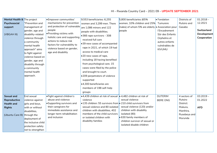## HI – Rwanda Country Card – 2021 09 – **UPDATE SEPTEMBER 2021**

| Mental Health & The project |                                    | · Empower communities'                                 | $9,553$ beneficiaries: 6,255                                   | 5,800 beneficiaries (65%                         | <b>•</b> Fondation | Districts of | $01.2018 -$        |
|-----------------------------|------------------------------------|--------------------------------------------------------|----------------------------------------------------------------|--------------------------------------------------|--------------------|--------------|--------------------|
| Psychosocial                | "Prevention and                    | mechanisms for prevention                              | women and 3,299 men. There                                     | women, 10% children and 25%                      | Tumurere           | Rutsiro and  | 12.2021            |
| support                     | management of                      | and protection of vulnerable                           | are 1,086 minors and 122                                       | males) of whom 5% are elderly • Association pour |                    | Gasabo       |                    |
|                             | gender, age and                    | people                                                 | people with disabilities.                                      | people                                           | l'Encadrement      |              | Switzerland        |
| (VBGAH III)                 | disability-related                 | . Providing victims with                               | •366 rape survivors - 308                                      |                                                  | Sûr des Enfants    |              | <b>Development</b> |
|                             | violence through                   | holistic care and supporting<br>actions to reduce risk | received full care                                             |                                                  | Orphelins et       |              | Cooperation        |
|                             | a community                        | factors for vulnerability to                           | •39 new cases of accompanied                                   |                                                  | autres enfants     |              |                    |
|                             | mental health                      | violence based on gender,                              | rape in 2021, of which 19 had                                  |                                                  | vulnérables de     |              |                    |
|                             | approach" aims<br>to fight against | age and disability                                     | access to medical care                                         |                                                  | <b>KIVUMU</b>      |              |                    |
|                             | violence based on                  |                                                        | •20 new cases of rape,                                         |                                                  |                    |              |                    |
|                             | gender, age and                    |                                                        | including 18 having benefited                                  |                                                  |                    |              |                    |
|                             | disability through                 |                                                        | from psychological care. 15                                    |                                                  |                    |              |                    |
|                             | a community                        |                                                        | cases were filed by the police                                 |                                                  |                    |              |                    |
|                             | mental health                      |                                                        | and brought to court.                                          |                                                  |                    |              |                    |
|                             | approach.                          |                                                        | .209 perpetrators of violence                                  |                                                  |                    |              |                    |
|                             |                                    |                                                        | supported                                                      |                                                  |                    |              |                    |
|                             |                                    |                                                        | ●4,300 beneficiaries are                                       |                                                  |                    |              |                    |
|                             |                                    |                                                        | members of 198 self-help                                       |                                                  |                    |              |                    |
|                             |                                    |                                                        | groups                                                         |                                                  |                    |              |                    |
| <b>Sexual and</b>           | End sexual                         | · Fight against children's                             | •4,439 children at risk of sexual  • 4,482 children at risk of |                                                  | <b>DUTERIM</b>     | 4 sectors of | $03.2019 -$        |
| Reproductive                | violence against                   | abuse and violence                                     | violence                                                       | sexual violence                                  | <b>BERE ONG</b>    | Rutsiro      | 01.2022            |
| <b>Health and</b>           | girls and boys,                    | • Supporting survivors and                             | •135 children: 55 survivors from • 210 child survivors from    |                                                  |                    | District:    |                    |
| <b>Rights</b>               | with or without                    | their caregivers for                                   | sexual violence and 80 isolated                                | sexual violence (120) and/or                     |                    | Mukura,      | <b>AFD</b>         |
|                             | disabilities,                      | immediate assistance and                               | children with disabilities, 402                                | children with disability                         |                    | Manihira,    |                    |
| (Ubuntu Care III)           | through the                        | longer-term rehabilitation                             | members of the child survivors                                 | isolated (90)                                    |                    | Rusebeya and |                    |
|                             | deployment of                      | and inclusion                                          | or isolated children with                                      | • 630 family members of                          |                    | Murunda      |                    |
|                             | the inclusive child                |                                                        | disability families                                            | children survivor of sexual or                   |                    |              |                    |
|                             | protection safety                  |                                                        |                                                                | isolated disable children                        |                    |              |                    |
|                             | net to strengthen                  |                                                        |                                                                |                                                  |                    |              |                    |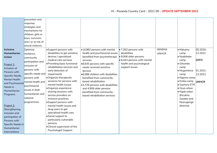|                      | prevention and      |                                              |                                   |                                     |               |                |              |
|----------------------|---------------------|----------------------------------------------|-----------------------------------|-------------------------------------|---------------|----------------|--------------|
|                      | response            |                                              |                                   |                                     |               |                |              |
|                      | strategies and      |                                              |                                   |                                     |               |                |              |
|                      | mechanisms for      |                                              |                                   |                                     |               |                |              |
|                      | children, girls or  |                                              |                                   |                                     |               |                |              |
|                      | boys, survivors     |                                              |                                   |                                     |               |                |              |
|                      | and / or at risk of |                                              |                                   |                                     |               |                |              |
|                      | sexual violence.    |                                              |                                   |                                     |               |                |              |
| <b>Inclusive</b>     | Optimize            | • Support persons with                       | .14,862 persons with mental       | $\bullet$ 7,302 persons with        | <b>MINEMA</b> | · Mahama       | 05.2020-     |
| Humanitarian         | resilience,         | disabilities to get assistive                | health and psychosocial issues    | disabilities                        | <b>UNHCR</b>  | camp           | 12.2021      |
| <b>Action</b>        | community           | devices / specialized                        | benefited from psychotherapy      | ● 9,006 older persons               |               | • Nyabiheke    |              |
|                      | participation and   | medical care services                        | services                          | $\bullet$ 8,443 persons with mental |               | camp           | <b>GFFO</b>  |
| Project 1:           |                     | • Providing basic functional                 | .8,635 persons with specific      | health and psychological            |               | • Gihembe      |              |
| Inclusion of         | inclusion of        | rehabilitation services and                  | needs received assistive          | support issues                      |               | camp           |              |
| Persons with         | bersons with        | early detection of                           | devices                           |                                     |               | · Mugombwa     | $01.2021 -$  |
| Specific Needs,      | specific needs and  | impairments                                  | .6,588 children with disabilities |                                     |               | camp           | 12.2021      |
| <b>Mental Health</b> | persons with        | • Organize therapeutic                       | benefited from community-         |                                     |               | • Kigeme camp  |              |
| and Psychosocial     | mental health and   | sessions for persons with                    | based rehabilitation              |                                     |               | • Kiziba camp  | <b>UNHCR</b> |
| Needs in             | psychosocial        | mental health issues                         | ● 3,729 persons with disabilities |                                     |               | • Gashora ETM  |              |
| Humanitarian         | issues in both      | ·Organize experience                         | and 4,906 older persons           |                                     |               | Huye urban     |              |
|                      | humanitarian and    | sharing sessions with                        | benefited from community-         |                                     |               | • Kigali urban |              |
| Programs             | national            | service providers on                         | based rehabilitation services     |                                     |               | (Kicukiro,     |              |
|                      |                     | inclusive practices                          |                                   |                                     |               | Gasabo and     |              |
|                      | programmes.         | • Support persons with                       |                                   |                                     |               | Nyarugenge     |              |
| Project 2:           |                     | mental health issues and                     |                                   |                                     |               | districts)     |              |
| Strengthening        |                     | drug users to get<br>specialized health care |                                   |                                     |               |                |              |
| inclusion and        |                     | • Social support to                          |                                   |                                     |               |                |              |
| participation of     |                     | particularly vulnerable                      |                                   |                                     |               |                |              |
| Persons with         |                     | persons                                      |                                   |                                     |               |                |              |
| Specific Needs in    |                     | . Clinical supervision of the                |                                   |                                     |               |                |              |
| Humanitarian         |                     | <b>Psychologist Support</b>                  |                                   |                                     |               |                |              |
| Interventions        |                     |                                              |                                   |                                     |               |                |              |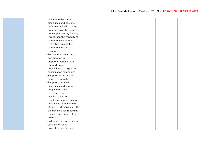| children with severe           |  |  |  |
|--------------------------------|--|--|--|
| disabilities and persons       |  |  |  |
| with mental health issues      |  |  |  |
| under neuroleptic drugs to     |  |  |  |
| get supplementary feeding      |  |  |  |
| • Strengthen the capacity of   |  |  |  |
| community volunteers           |  |  |  |
| Refresher training for         |  |  |  |
| community resource             |  |  |  |
| managers                       |  |  |  |
| · Engage the beneficiary's     |  |  |  |
| participation in               |  |  |  |
| empowerment services           |  |  |  |
| ·Support project               |  |  |  |
| beneficiaries to organize      |  |  |  |
| sensitization campaigns        |  |  |  |
| • Support for the senior       |  |  |  |
| citizens' committees           |  |  |  |
| • Support youths with          |  |  |  |
| disabilities and young         |  |  |  |
| people who have                |  |  |  |
| overcome their                 |  |  |  |
| psychological and              |  |  |  |
| psychosocial problems to       |  |  |  |
| access vocational training     |  |  |  |
| . Organize art activities with |  |  |  |
| the beneficiaries regarding    |  |  |  |
| the implementation of the      |  |  |  |
| project                        |  |  |  |
| . Follow up and information    |  |  |  |
| sessions on child              |  |  |  |
| protection, sexual and         |  |  |  |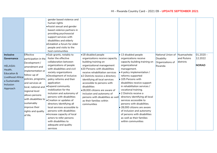|                                                                                                           |                                                                                                                                                                                                                                                                    | gender based violence and<br>human rights<br>• Assist sexual and gender<br>based violence partners in<br>providing psychosocial<br>support services with<br>disabilities and elderly<br>· Establish a forum for older<br>people and visits to the<br>host communities                                                                                                                                                                                                                                                                         |                                                                                                                                                                                                                                                                                                                                                                                         |                                                                                                                                                                                                                                                                                                                                                                                                                                                                                                               |                                 |                           |                        |
|-----------------------------------------------------------------------------------------------------------|--------------------------------------------------------------------------------------------------------------------------------------------------------------------------------------------------------------------------------------------------------------------|-----------------------------------------------------------------------------------------------------------------------------------------------------------------------------------------------------------------------------------------------------------------------------------------------------------------------------------------------------------------------------------------------------------------------------------------------------------------------------------------------------------------------------------------------|-----------------------------------------------------------------------------------------------------------------------------------------------------------------------------------------------------------------------------------------------------------------------------------------------------------------------------------------------------------------------------------------|---------------------------------------------------------------------------------------------------------------------------------------------------------------------------------------------------------------------------------------------------------------------------------------------------------------------------------------------------------------------------------------------------------------------------------------------------------------------------------------------------------------|---------------------------------|---------------------------|------------------------|
| <b>Inclusive</b><br>Governance                                                                            | Effective<br>participation in the                                                                                                                                                                                                                                  | •Sub-grants, notably to<br>foster the effective                                                                                                                                                                                                                                                                                                                                                                                                                                                                                               | ·18 disabled people<br>organizations receive capacity                                                                                                                                                                                                                                                                                                                                   | $\bullet$ 13 disabled people<br>organizations receive                                                                                                                                                                                                                                                                                                                                                                                                                                                         | National Union of<br>Disability | Nyamasheke<br>and Rutsiro | $01.2020 -$<br>12.2022 |
| <b>HELASIA:</b><br>Health,<br>Education &<br>Livelihood Africa:<br>a Sustainable<br>Inclusion<br>Approach | Development /<br>amendment and<br>implementation or<br>follow-up of<br>policies, programs,<br>and services at<br>local, national and<br>regional level<br>allows persons<br>with disabilities to<br>sustainably<br>improve their<br>rights and quality<br>of life. | collaboration between<br>organizations of people<br>with disabilities and civil<br>society organizations<br>•Development of inclusive<br>policy reforms and their<br>application<br>$\bullet$ Expand community<br>mobilization for the<br>inclusion and autonomy of<br>persons with disabilities<br>• Creation or updates of<br>directory identifying all<br>local services accessible to<br>persons with disabilities<br>· Increase capacity of local<br>actors to refer persons<br>with disabilities to<br>adequate and quality<br>services | building training on<br>organizational management<br>.20 Persons with disabilities<br>receive rehabilitation services<br>.2 Districts receive a directory<br>identifying all local services<br>accessible to persons with<br>disabilities<br>.28,000 citizens are aware of<br>inclusion and autonomy of<br>persons with disabilities as well<br>as their families within<br>communities | capacity building training on<br>organizational<br>management.<br>• 4 policy implementation /<br>reforms supported<br>• 105 Persons with<br>disabilities receive support<br>in rehabilitation services /<br>vocational training.<br>• 2 Districts receive a<br>directory identifying all local<br>services accessible to<br>persons with disabilities.<br>$\bullet$ 28,000 citizens are aware<br>of inclusion and autonomy<br>of persons with disabilities<br>as well as their families<br>within communities | Organizations of<br>Rwanda      | districts                 | NORAD                  |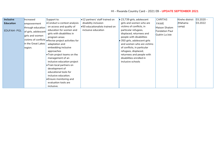| <b>Inclusive</b>  | Increased            | Support to:                                                                | $\bullet$ 12 partners' staff trained on | $\bullet$ 23,739 girls, adolescent    | <b>CARITAS</b>        | Kirehe district | $ 03.2020 -$ |
|-------------------|----------------------|----------------------------------------------------------------------------|-----------------------------------------|---------------------------------------|-----------------------|-----------------|--------------|
| <b>Education</b>  | empowerment          | • Conduct a context analysis                                               | disability inclusion                    | girls and women who are               | <b>FAWE</b>           | Mahama          | 03.2022      |
|                   | through education    | on access and quality of                                                   | .50 educationalists trained on          | victims of conflicts, in              | Maison Shalom         | camp)           |              |
| <b>EDUFAM-PGL</b> | of girls, adolescent | education for women and                                                    | inclusive education                     | particular refugees,                  | <b>Fondation Paul</b> |                 |              |
|                   | girls and women      | girls with disabilities in                                                 |                                         | displaced, returnees and              | Guérin La Joie        |                 |              |
|                   |                      | program areas                                                              |                                         | people with disabilities              |                       |                 |              |
|                   |                      | $\vert$ victims of conflicts $\vert_\bullet$ Revise project activities for |                                         | $\bullet$ 350 girls, adolescent girls |                       |                 |              |
|                   | in the Great Lakes   | adaptation and                                                             |                                         | and women who are victims             |                       |                 |              |
|                   | region.              | embedding inclusive                                                        |                                         | of conflicts, in particular           |                       |                 |              |
|                   |                      | approaches                                                                 |                                         | refugees, displaced,                  |                       |                 |              |
|                   |                      | • Train project teams on the                                               |                                         | returnees and people with             |                       |                 |              |
|                   |                      | management of an                                                           |                                         | disabilities enrolled in              |                       |                 |              |
|                   |                      | inclusive education project                                                |                                         | inclusive schools                     |                       |                 |              |
|                   |                      | • Train local partners on                                                  |                                         |                                       |                       |                 |              |
|                   |                      | development of                                                             |                                         |                                       |                       |                 |              |
|                   |                      | educational tools for                                                      |                                         |                                       |                       |                 |              |
|                   |                      | inclusive education.                                                       |                                         |                                       |                       |                 |              |
|                   |                      | • Ensure monitoring and                                                    |                                         |                                       |                       |                 |              |
|                   |                      | evaluation tools are                                                       |                                         |                                       |                       |                 |              |
|                   |                      | inclusive.                                                                 |                                         |                                       |                       |                 |              |